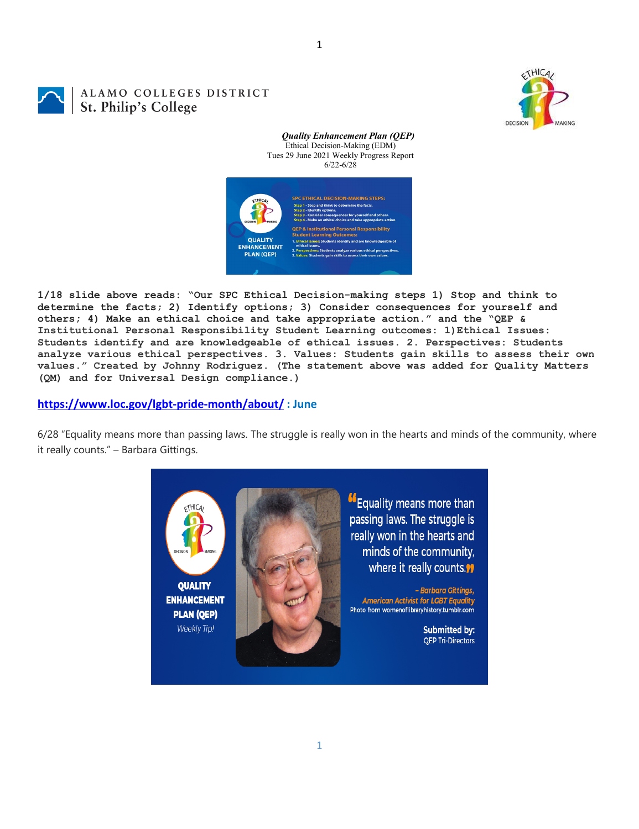1

## ALAMO COLLEGES DISTRICT St. Philip's College



*Quality Enhancement Plan (QEP)* Ethical Decision-Making (EDM) Tues 29 June 2021 Weekly Progress Report 6/22-6/28



**1/18 slide above reads: "Our SPC Ethical Decision-making steps 1) Stop and think to determine the facts; 2) Identify options; 3) Consider consequences for yourself and others; 4) Make an ethical choice and take appropriate action." and the "QEP & Institutional Personal Responsibility Student Learning outcomes: 1)Ethical Issues: Students identify and are knowledgeable of ethical issues. 2. Perspectives: Students analyze various ethical perspectives. 3. Values: Students gain skills to assess their own values." Created by Johnny Rodriguez. (The statement above was added for Quality Matters (QM) and for Universal Design compliance.)**

## **<https://www.loc.gov/lgbt-pride-month/about/> : June**

6/28 "Equality means more than passing laws. The struggle is really won in the hearts and minds of the community, where it really counts." – Barbara Gittings.